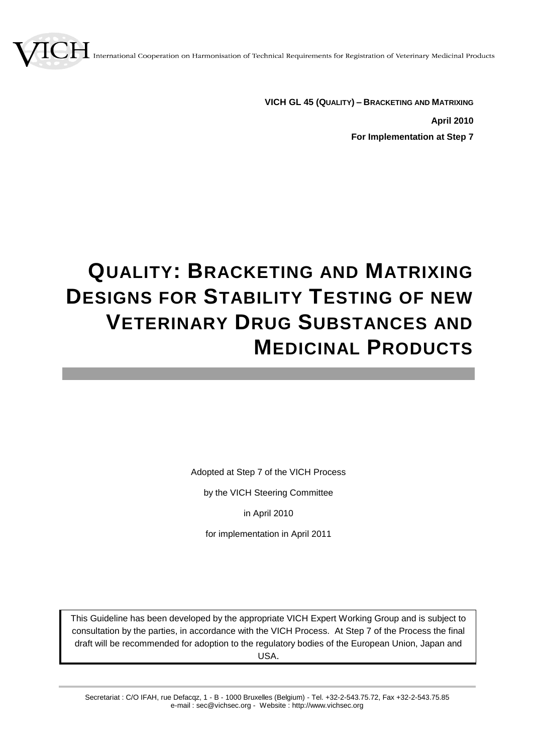International Cooperation on Harmonisation of Technical Requirements for Registration of Veterinary Medicinal Products

**VICH GL 45 (QUALITY) – BRACKETING AND MATRIXING**

**April 2010**

**For Implementation at Step 7**

# **QUALITY: BRACKETING AND MATRIXING DESIGNS FOR STABILITY TESTING OF NEW VETERINARY DRUG SUBSTANCES AND MEDICINAL PRODUCTS**

Adopted at Step 7 of the VICH Process

by the VICH Steering Committee

in April 2010

for implementation in April 2011

This Guideline has been developed by the appropriate VICH Expert Working Group and is subject to consultation by the parties, in accordance with the VICH Process. At Step 7 of the Process the final draft will be recommended for adoption to the regulatory bodies of the European Union, Japan and USA.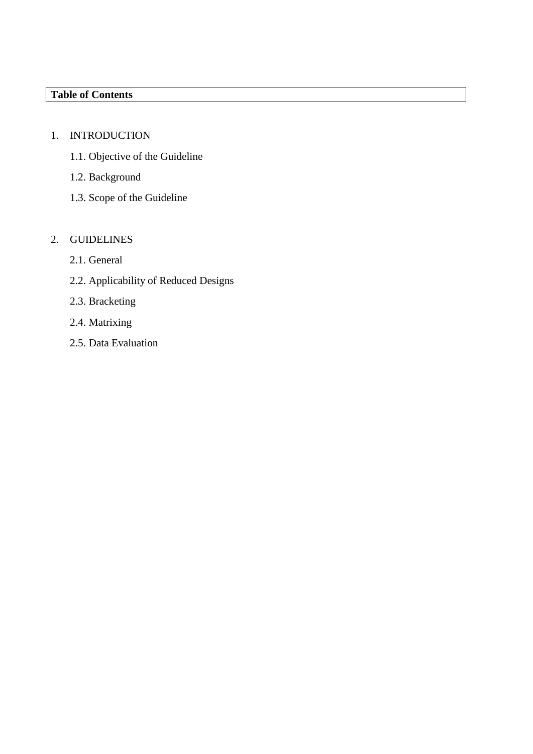# **Table of Contents**

# 1. INTRODUCTION

- 1.1. Objective of the Guideline
- 1.2. Background
- 1.3. Scope of the Guideline

#### 2. GUIDELINES

- 2.1. General
- 2.2. Applicability of Reduced Designs
- 2.3. Bracketing
- 2.4. Matrixing
- 2.5. Data Evaluation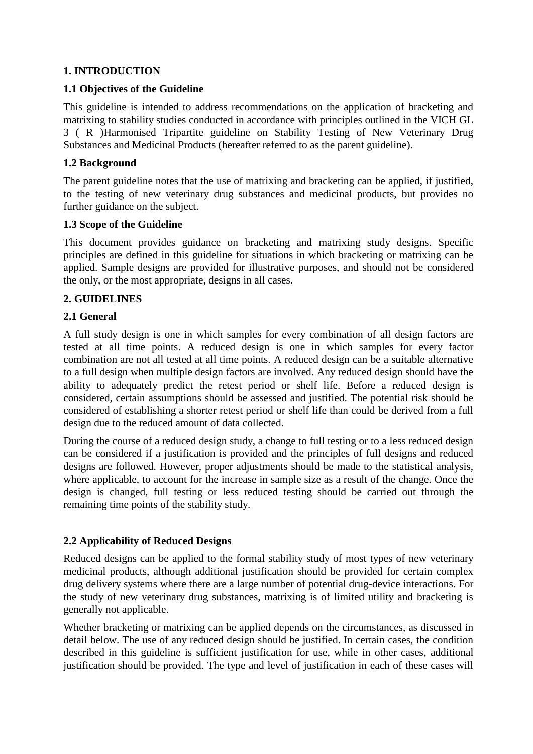## **1. INTRODUCTION**

#### **1.1 Objectives of the Guideline**

This guideline is intended to address recommendations on the application of bracketing and matrixing to stability studies conducted in accordance with principles outlined in the VICH GL 3 ( R )Harmonised Tripartite guideline on Stability Testing of New Veterinary Drug Substances and Medicinal Products (hereafter referred to as the parent guideline).

#### **1.2 Background**

The parent guideline notes that the use of matrixing and bracketing can be applied, if justified, to the testing of new veterinary drug substances and medicinal products, but provides no further guidance on the subject.

## **1.3 Scope of the Guideline**

This document provides guidance on bracketing and matrixing study designs. Specific principles are defined in this guideline for situations in which bracketing or matrixing can be applied. Sample designs are provided for illustrative purposes, and should not be considered the only, or the most appropriate, designs in all cases.

## **2. GUIDELINES**

## **2.1 General**

A full study design is one in which samples for every combination of all design factors are tested at all time points. A reduced design is one in which samples for every factor combination are not all tested at all time points. A reduced design can be a suitable alternative to a full design when multiple design factors are involved. Any reduced design should have the ability to adequately predict the retest period or shelf life. Before a reduced design is considered, certain assumptions should be assessed and justified. The potential risk should be considered of establishing a shorter retest period or shelf life than could be derived from a full design due to the reduced amount of data collected.

During the course of a reduced design study, a change to full testing or to a less reduced design can be considered if a justification is provided and the principles of full designs and reduced designs are followed. However, proper adjustments should be made to the statistical analysis, where applicable, to account for the increase in sample size as a result of the change. Once the design is changed, full testing or less reduced testing should be carried out through the remaining time points of the stability study.

# **2.2 Applicability of Reduced Designs**

Reduced designs can be applied to the formal stability study of most types of new veterinary medicinal products, although additional justification should be provided for certain complex drug delivery systems where there are a large number of potential drug-device interactions. For the study of new veterinary drug substances, matrixing is of limited utility and bracketing is generally not applicable.

Whether bracketing or matrixing can be applied depends on the circumstances, as discussed in detail below. The use of any reduced design should be justified. In certain cases, the condition described in this guideline is sufficient justification for use, while in other cases, additional justification should be provided. The type and level of justification in each of these cases will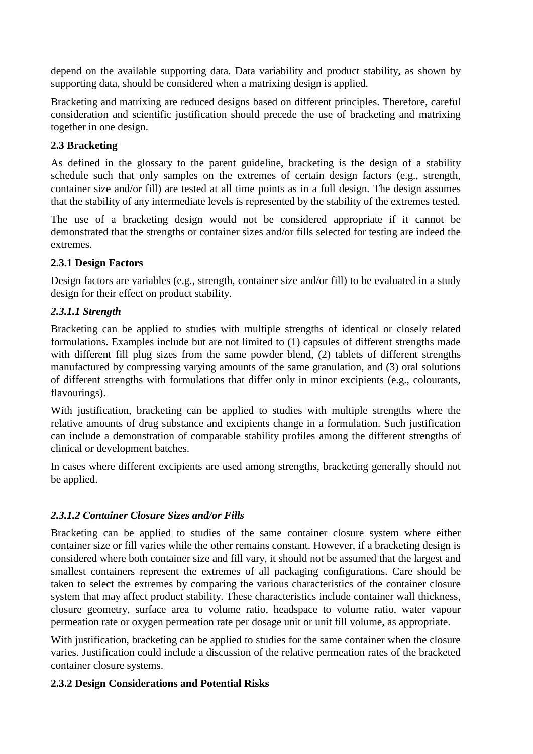depend on the available supporting data. Data variability and product stability, as shown by supporting data, should be considered when a matrixing design is applied.

Bracketing and matrixing are reduced designs based on different principles. Therefore, careful consideration and scientific justification should precede the use of bracketing and matrixing together in one design.

## **2.3 Bracketing**

As defined in the glossary to the parent guideline, bracketing is the design of a stability schedule such that only samples on the extremes of certain design factors (e.g., strength, container size and/or fill) are tested at all time points as in a full design. The design assumes that the stability of any intermediate levels is represented by the stability of the extremes tested.

The use of a bracketing design would not be considered appropriate if it cannot be demonstrated that the strengths or container sizes and/or fills selected for testing are indeed the extremes.

## **2.3.1 Design Factors**

Design factors are variables (e.g., strength, container size and/or fill) to be evaluated in a study design for their effect on product stability.

## *2.3.1.1 Strength*

Bracketing can be applied to studies with multiple strengths of identical or closely related formulations. Examples include but are not limited to (1) capsules of different strengths made with different fill plug sizes from the same powder blend, (2) tablets of different strengths manufactured by compressing varying amounts of the same granulation, and (3) oral solutions of different strengths with formulations that differ only in minor excipients (e.g., colourants, flavourings).

With justification, bracketing can be applied to studies with multiple strengths where the relative amounts of drug substance and excipients change in a formulation. Such justification can include a demonstration of comparable stability profiles among the different strengths of clinical or development batches.

In cases where different excipients are used among strengths, bracketing generally should not be applied.

# *2.3.1.2 Container Closure Sizes and/or Fills*

Bracketing can be applied to studies of the same container closure system where either container size or fill varies while the other remains constant. However, if a bracketing design is considered where both container size and fill vary, it should not be assumed that the largest and smallest containers represent the extremes of all packaging configurations. Care should be taken to select the extremes by comparing the various characteristics of the container closure system that may affect product stability. These characteristics include container wall thickness, closure geometry, surface area to volume ratio, headspace to volume ratio, water vapour permeation rate or oxygen permeation rate per dosage unit or unit fill volume, as appropriate.

With justification, bracketing can be applied to studies for the same container when the closure varies. Justification could include a discussion of the relative permeation rates of the bracketed container closure systems.

# **2.3.2 Design Considerations and Potential Risks**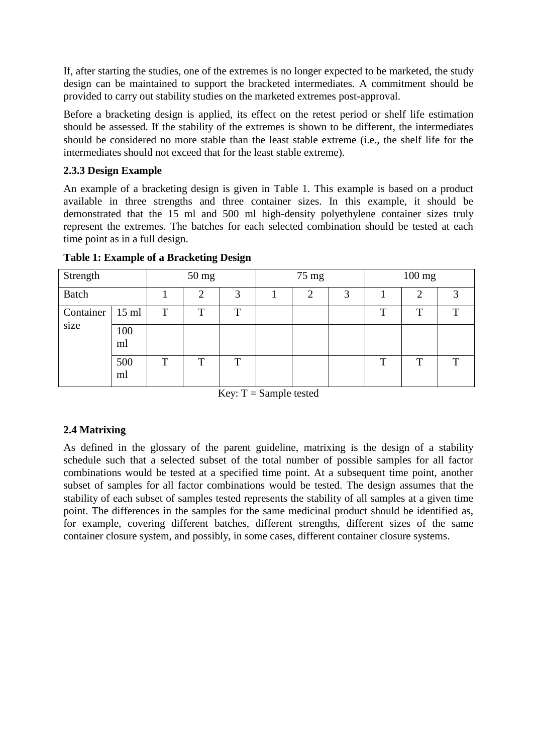If, after starting the studies, one of the extremes is no longer expected to be marketed, the study design can be maintained to support the bracketed intermediates. A commitment should be provided to carry out stability studies on the marketed extremes post-approval.

Before a bracketing design is applied, its effect on the retest period or shelf life estimation should be assessed. If the stability of the extremes is shown to be different, the intermediates should be considered no more stable than the least stable extreme (i.e., the shelf life for the intermediates should not exceed that for the least stable extreme).

## **2.3.3 Design Example**

An example of a bracketing design is given in Table 1. This example is based on a product available in three strengths and three container sizes. In this example, it should be demonstrated that the 15 ml and 500 ml high-density polyethylene container sizes truly represent the extremes. The batches for each selected combination should be tested at each time point as in a full design.

| Strength          |                 | 50 mg |   |   | 75 mg |   | $100$ mg |   |   |
|-------------------|-----------------|-------|---|---|-------|---|----------|---|---|
| <b>Batch</b>      |                 |       | 2 | 3 | 2     | 3 |          |   |   |
| Container<br>size | $15 \text{ ml}$ | T     | T | т |       |   | T        | T | T |
|                   | 100<br>ml       |       |   |   |       |   |          |   |   |
|                   | 500<br>ml       | T     | T | T |       |   | T        | T | m |

**Table 1: Example of a Bracketing Design**

Key:  $T =$  Sample tested

# **2.4 Matrixing**

As defined in the glossary of the parent guideline, matrixing is the design of a stability schedule such that a selected subset of the total number of possible samples for all factor combinations would be tested at a specified time point. At a subsequent time point, another subset of samples for all factor combinations would be tested. The design assumes that the stability of each subset of samples tested represents the stability of all samples at a given time point. The differences in the samples for the same medicinal product should be identified as, for example, covering different batches, different strengths, different sizes of the same container closure system, and possibly, in some cases, different container closure systems.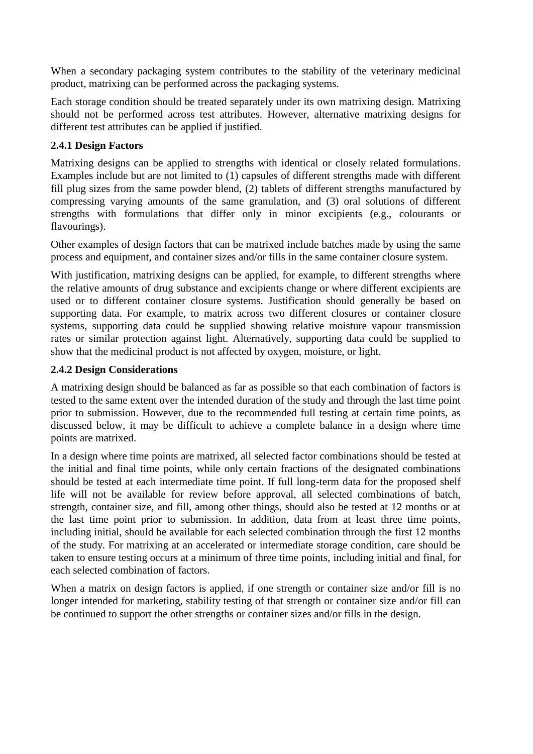When a secondary packaging system contributes to the stability of the veterinary medicinal product, matrixing can be performed across the packaging systems.

Each storage condition should be treated separately under its own matrixing design. Matrixing should not be performed across test attributes. However, alternative matrixing designs for different test attributes can be applied if justified.

## **2.4.1 Design Factors**

Matrixing designs can be applied to strengths with identical or closely related formulations. Examples include but are not limited to (1) capsules of different strengths made with different fill plug sizes from the same powder blend, (2) tablets of different strengths manufactured by compressing varying amounts of the same granulation, and (3) oral solutions of different strengths with formulations that differ only in minor excipients (e.g., colourants or flavourings).

Other examples of design factors that can be matrixed include batches made by using the same process and equipment, and container sizes and/or fills in the same container closure system.

With justification, matrixing designs can be applied, for example, to different strengths where the relative amounts of drug substance and excipients change or where different excipients are used or to different container closure systems. Justification should generally be based on supporting data. For example, to matrix across two different closures or container closure systems, supporting data could be supplied showing relative moisture vapour transmission rates or similar protection against light. Alternatively, supporting data could be supplied to show that the medicinal product is not affected by oxygen, moisture, or light.

#### **2.4.2 Design Considerations**

A matrixing design should be balanced as far as possible so that each combination of factors is tested to the same extent over the intended duration of the study and through the last time point prior to submission. However, due to the recommended full testing at certain time points, as discussed below, it may be difficult to achieve a complete balance in a design where time points are matrixed.

In a design where time points are matrixed, all selected factor combinations should be tested at the initial and final time points, while only certain fractions of the designated combinations should be tested at each intermediate time point. If full long-term data for the proposed shelf life will not be available for review before approval, all selected combinations of batch, strength, container size, and fill, among other things, should also be tested at 12 months or at the last time point prior to submission. In addition, data from at least three time points, including initial, should be available for each selected combination through the first 12 months of the study. For matrixing at an accelerated or intermediate storage condition, care should be taken to ensure testing occurs at a minimum of three time points, including initial and final, for each selected combination of factors.

When a matrix on design factors is applied, if one strength or container size and/or fill is no longer intended for marketing, stability testing of that strength or container size and/or fill can be continued to support the other strengths or container sizes and/or fills in the design.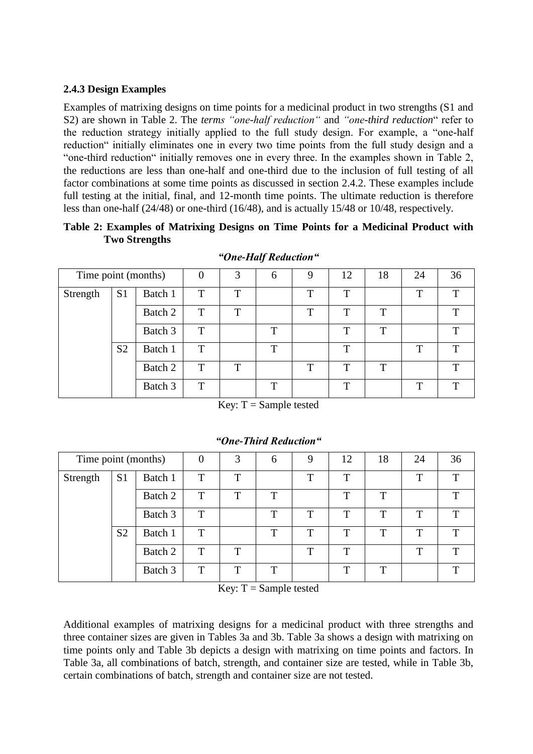#### **2.4.3 Design Examples**

Examples of matrixing designs on time points for a medicinal product in two strengths (S1 and S2) are shown in Table 2. The *terms "one-half reduction"* and *"one-third reduction*" refer to the reduction strategy initially applied to the full study design. For example, a "one-half reduction" initially eliminates one in every two time points from the full study design and a "one-third reduction" initially removes one in every three. In the examples shown in Table 2, the reductions are less than one-half and one-third due to the inclusion of full testing of all factor combinations at some time points as discussed in section 2.4.2. These examples include full testing at the initial, final, and 12-month time points. The ultimate reduction is therefore less than one-half (24/48) or one-third (16/48), and is actually 15/48 or 10/48, respectively.

#### **Table 2: Examples of Matrixing Designs on Time Points for a Medicinal Product with Two Strengths**

| Time point (months) |                | O       | 3 | 6 | 9           | 12 | 18 | 24 | 36 |   |
|---------------------|----------------|---------|---|---|-------------|----|----|----|----|---|
| Strength            | S <sub>1</sub> | Batch 1 | T | T |             | т  | T  |    | m  | T |
|                     |                | Batch 2 | T | T |             | T  | T  | T  |    | T |
|                     |                | Batch 3 | T |   | T           |    | T  | T  |    | T |
|                     | S <sub>2</sub> | Batch 1 | T |   | T           |    | T  |    | T  | T |
|                     |                | Batch 2 | T | т |             | T  | T  | T  |    | T |
|                     |                | Batch 3 | T |   | $\mathbf T$ |    | Т  |    | ௱  | T |

#### *"One-Half Reduction"*

Key:  $T =$  Sample tested

| Time point (months) |                | $\theta$ | 3 | 6 | 9           | 12 | 18 | 24 | 36 |             |
|---------------------|----------------|----------|---|---|-------------|----|----|----|----|-------------|
| Strength            | S <sub>1</sub> |          | T | T |             | T  | T  |    | m  | T           |
|                     |                | Batch 2  | T | m | m           |    | m  | Т  |    | $\mathbf T$ |
|                     |                | Batch 3  | T |   | T           | T  | T  | Т  | m  | T           |
|                     | S <sub>2</sub> | Batch 1  | T |   | $\mathbf T$ | T  | T  | Т  | m  | T           |
|                     |                | Batch 2  | T | T |             | т  | T  |    | m  | T           |
|                     |                | Batch 3  | T | T | m           |    | m  | T  |    | $\mathbf T$ |

#### *"One-Third Reduction"*

Key:  $T =$  Sample tested

Additional examples of matrixing designs for a medicinal product with three strengths and three container sizes are given in Tables 3a and 3b. Table 3a shows a design with matrixing on time points only and Table 3b depicts a design with matrixing on time points and factors. In Table 3a, all combinations of batch, strength, and container size are tested, while in Table 3b, certain combinations of batch, strength and container size are not tested.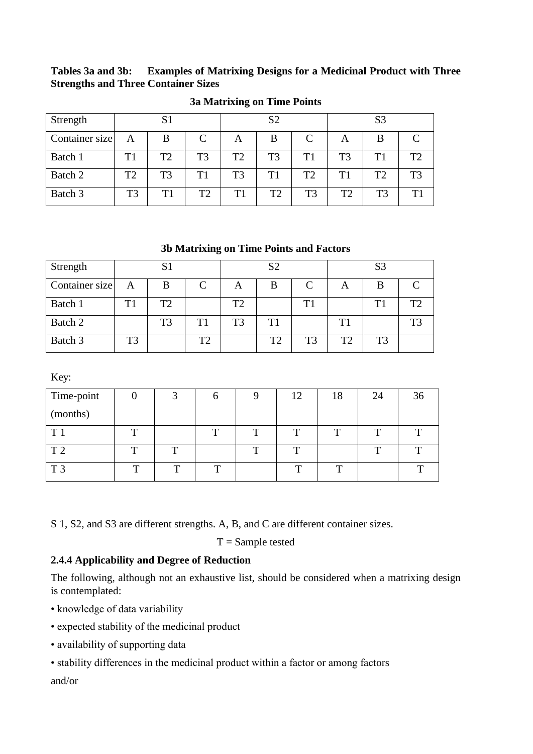#### **Tables 3a and 3b: Examples of Matrixing Designs for a Medicinal Product with Three Strengths and Three Container Sizes**

| Strength       | Q<br>ΩI        |                |                |                | S <sub>2</sub> |                | S <sub>3</sub> |                |    |
|----------------|----------------|----------------|----------------|----------------|----------------|----------------|----------------|----------------|----|
| Container size | A              |                | C              | A              | B              |                | A              | В              |    |
| Batch 1        | T1             | T <sub>2</sub> | T <sub>3</sub> | T <sub>2</sub> | T3             | T <sub>1</sub> | T <sub>3</sub> | T1             | T2 |
| Batch 2        | T <sub>2</sub> | T <sub>3</sub> | T <sub>1</sub> | T <sub>3</sub> | $\rm T1$       | T <sub>2</sub> | T <sub>1</sub> | T2             | T3 |
| Batch 3        | T <sub>3</sub> | T1             | T2             | T1             | T <sub>2</sub> | T <sub>3</sub> | T <sub>2</sub> | T <sub>3</sub> | T1 |

#### **3a Matrixing on Time Points**

**3b Matrixing on Time Points and Factors**

| Strength       | $\mathbf{C}$<br>D. |    |                | S <sub>2</sub> |    |                | S3             |                |    |
|----------------|--------------------|----|----------------|----------------|----|----------------|----------------|----------------|----|
| Container size | A                  |    |                | A              | B  |                | A              | B              |    |
| Batch 1        | T1                 | T2 |                | T <sub>2</sub> |    | T <sup>1</sup> |                | T1             | T? |
| Batch 2        |                    | T3 | T <sub>1</sub> | T <sub>3</sub> | T1 |                |                |                | T3 |
| Batch 3        | T3                 |    | T2             |                | T2 | T <sub>3</sub> | T <sub>2</sub> | T <sub>3</sub> |    |

Key:

| Time-point     |   |   |   |              | 12 | 18           | 24           | 36             |
|----------------|---|---|---|--------------|----|--------------|--------------|----------------|
| (months)       |   |   |   |              |    |              |              |                |
| $T$ 1          | m |   | m | m            | m  | $\mathbf{r}$ | $\mathbf{r}$ | $\blacksquare$ |
| T <sub>2</sub> |   | m |   | $\mathbf{r}$ | m  |              | m            | $\mathbf{r}$   |
| T <sub>3</sub> | m | m | m |              | m  | m            |              | m              |

S 1, S2, and S3 are different strengths. A, B, and C are different container sizes.

 $T =$  Sample tested

#### **2.4.4 Applicability and Degree of Reduction**

The following, although not an exhaustive list, should be considered when a matrixing design is contemplated:

• knowledge of data variability

- expected stability of the medicinal product
- availability of supporting data
- stability differences in the medicinal product within a factor or among factors

and/or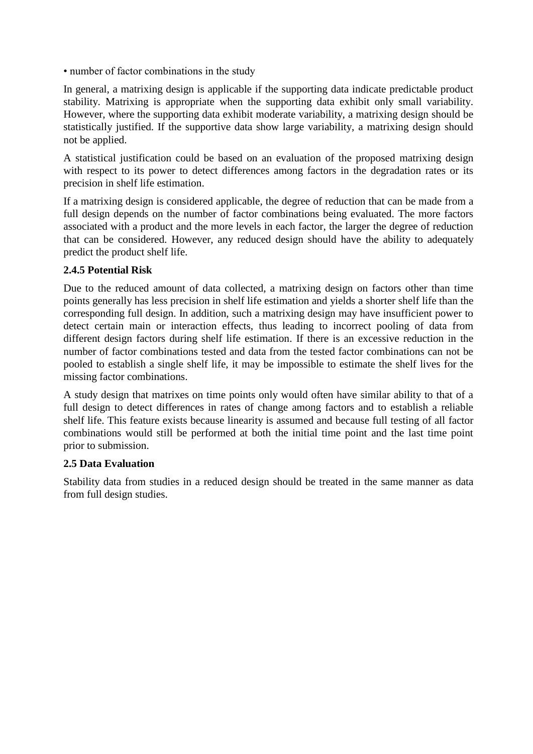• number of factor combinations in the study

In general, a matrixing design is applicable if the supporting data indicate predictable product stability. Matrixing is appropriate when the supporting data exhibit only small variability. However, where the supporting data exhibit moderate variability, a matrixing design should be statistically justified. If the supportive data show large variability, a matrixing design should not be applied.

A statistical justification could be based on an evaluation of the proposed matrixing design with respect to its power to detect differences among factors in the degradation rates or its precision in shelf life estimation.

If a matrixing design is considered applicable, the degree of reduction that can be made from a full design depends on the number of factor combinations being evaluated. The more factors associated with a product and the more levels in each factor, the larger the degree of reduction that can be considered. However, any reduced design should have the ability to adequately predict the product shelf life.

#### **2.4.5 Potential Risk**

Due to the reduced amount of data collected, a matrixing design on factors other than time points generally has less precision in shelf life estimation and yields a shorter shelf life than the corresponding full design. In addition, such a matrixing design may have insufficient power to detect certain main or interaction effects, thus leading to incorrect pooling of data from different design factors during shelf life estimation. If there is an excessive reduction in the number of factor combinations tested and data from the tested factor combinations can not be pooled to establish a single shelf life, it may be impossible to estimate the shelf lives for the missing factor combinations.

A study design that matrixes on time points only would often have similar ability to that of a full design to detect differences in rates of change among factors and to establish a reliable shelf life. This feature exists because linearity is assumed and because full testing of all factor combinations would still be performed at both the initial time point and the last time point prior to submission.

#### **2.5 Data Evaluation**

Stability data from studies in a reduced design should be treated in the same manner as data from full design studies.